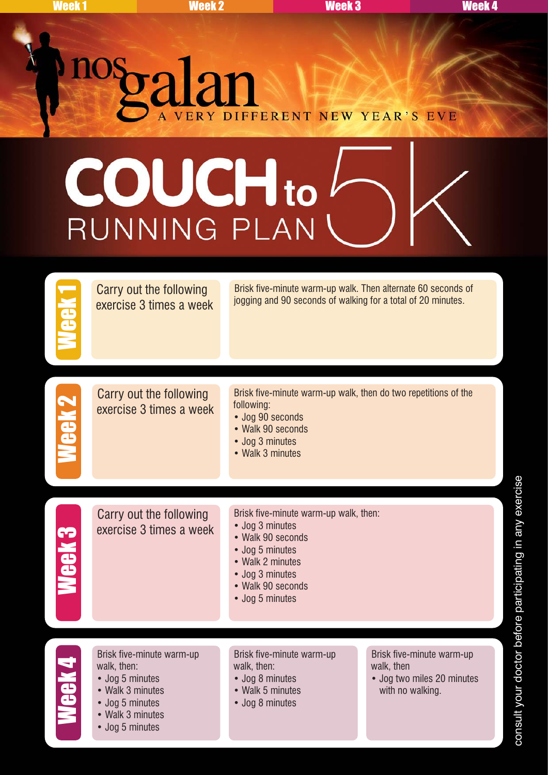## nosto alan ERY DIFFERENT NEW YEAR'S EVE

## **COUCH**to RUNNING PLAN

Week 1 Brisk five-minute warm-up walk. Then alternate 60 seconds of Carry out the following<br>logging and 90 seconds of walking for a total of 20 minutes. exercise 3 times a week Carry out the following exercise 3 times a week Brisk five-minute warm-up walk, then do two repetitions of the following: • Jog 90 seconds • Walk 90 seconds • Jog 3 minutes • Walk 3 minutes Week 3 Carry out the following exercise 3 times a week Brisk five-minute warm-up walk, then: • Jog 3 minutes • Walk 90 seconds • Jog 5 minutes • Walk 2 minutes • Jog 3 minutes • Walk 90 seconds • Jog 5 minutes Brisk five-minute warm-up<br>
walk, then:<br>
• Jog 5 minutes<br>
• Walk 3 minutes<br>
• Walk 3 minutes<br>
• Walk 3 minutes walk, then: • Jog 5 minutes • Walk 3 minutes • Jog 5 minutes • Walk 3 minutes • Jog 5 minutes Brisk five-minute warm-up walk, then: • Jog 8 minutes • Walk 5 minutes • Jog 8 minutes Brisk five-minute warm-up walk, then • Jog two miles 20 minutes with no walking.